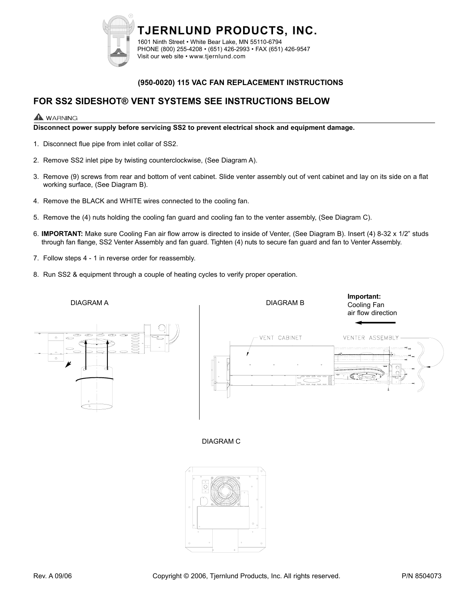

#### **(950-0020) 115 VAC FAN REPLACEMENT INSTRUCTIONS**

## **FOR SS2 SIDESHOT® VENT SYSTEMS SEE INSTRUCTIONS BELOW**

### **WARNING**

**Disconnect power supply before servicing SS2 to prevent electrical shock and equipment damage.**

- 1. Disconnect flue pipe from inlet collar of SS2.
- 2. Remove SS2 inlet pipe by twisting counterclockwise, (See Diagram A).
- 3. Remove (9) screws from rear and bottom of vent cabinet. Slide venter assembly out of vent cabinet and lay on its side on a flat working surface, (See Diagram B).
- 4. Remove the BLACK and WHITE wires connected to the cooling fan.
- 5. Remove the (4) nuts holding the cooling fan guard and cooling fan to the venter assembly, (See Diagram C).
- 6. **IMPORTANT:** Make sure Cooling Fan air flow arrow is directed to inside of Venter, (See Diagram B). Insert (4) 8-32 x 1/2" studs through fan flange, SS2 Venter Assembly and fan guard. Tighten (4) nuts to secure fan guard and fan to Venter Assembly.
- 7. Follow steps 4 1 in reverse order for reassembly.
- 8. Run SS2 & equipment through a couple of heating cycles to verify proper operation.



DIAGRAM C